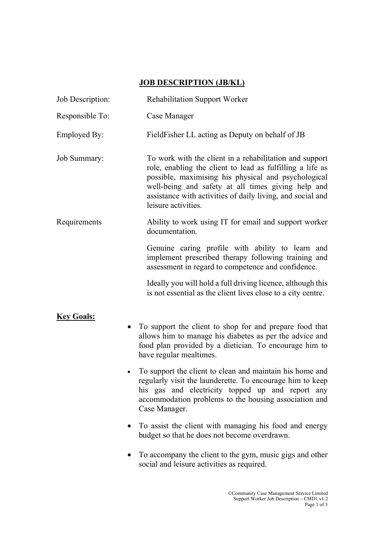## **JOB DESCRIPTION (JB/KL)**

| Job Description:               | <b>Rehabilitation Support Worker</b>                                                                                                                                                                                                                                                                                   |
|--------------------------------|------------------------------------------------------------------------------------------------------------------------------------------------------------------------------------------------------------------------------------------------------------------------------------------------------------------------|
| Responsible To:                | Case Manager                                                                                                                                                                                                                                                                                                           |
| Employed By:                   | Field Fisher LL acting as Deputy on behalf of JB                                                                                                                                                                                                                                                                       |
| Job Summary:                   | To work with the client in a rehabilitation and support<br>role, enabling the client to lead as fulfilling a life as<br>possible, maximising his physical and psychological<br>well-being and safety at all times giving help and<br>assistance with activities of daily living, and social and<br>leisure activities. |
| Requirements                   | Ability to work using IT for email and support worker<br>documentation.                                                                                                                                                                                                                                                |
|                                | Genuine caring profile with ability to learn and<br>implement prescribed therapy following training and<br>assessment in regard to competence and confidence.                                                                                                                                                          |
|                                | Ideally you will hold a full driving licence, although this<br>is not essential as the client lives close to a city centre.                                                                                                                                                                                            |
| <b>Key Goals:</b><br>$\bullet$ | To support the client to shop for and prepare food that<br>allows him to manage his diabetes as per the advice and<br>food plan provided by a dietician. To encourage him to<br>have regular mealtimes.<br>To support the client to clean and maintain his home and                                                    |
|                                | regularly visit the launderette. To encourage him to keep<br>his gas and electricity topped up and report any<br>accommodation problems to the housing association and<br>Case Manager.                                                                                                                                |
|                                | To assist the client with managing his food and energy<br>budget so that he does not become overdrawn.                                                                                                                                                                                                                 |
|                                | To accompany the client to the gym, music gigs and other<br>social and leisure activities as required.                                                                                                                                                                                                                 |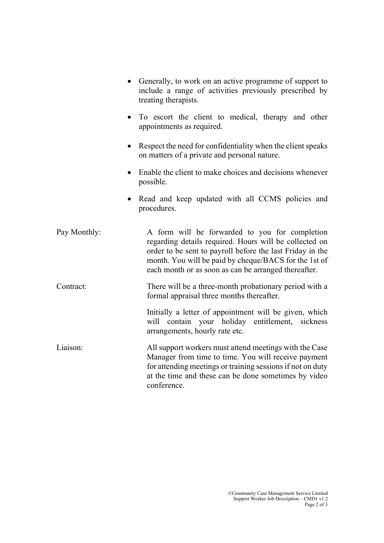| $\bullet$    | Generally, to work on an active programme of support to<br>include a range of activities previously prescribed by<br>treating therapists.                                                                                                                                              |
|--------------|----------------------------------------------------------------------------------------------------------------------------------------------------------------------------------------------------------------------------------------------------------------------------------------|
|              | To escort the client to medical, therapy and other<br>appointments as required.                                                                                                                                                                                                        |
|              | Respect the need for confidentiality when the client speaks<br>on matters of a private and personal nature.                                                                                                                                                                            |
|              | Enable the client to make choices and decisions whenever<br>possible.                                                                                                                                                                                                                  |
| $\bullet$    | Read and keep updated with all CCMS policies and<br>procedures.                                                                                                                                                                                                                        |
| Pay Monthly: | A form will be forwarded to you for completion<br>regarding details required. Hours will be collected on<br>order to be sent to payroll before the last Friday in the<br>month. You will be paid by cheque/BACS for the 1st of<br>each month or as soon as can be arranged thereafter. |
| Contract:    | There will be a three-month probationary period with a<br>formal appraisal three months thereafter.                                                                                                                                                                                    |
|              | Initially a letter of appointment will be given, which<br>will contain your holiday entitlement,<br>sickness<br>arrangements, hourly rate etc.                                                                                                                                         |
| Liaison:     | All support workers must attend meetings with the Case<br>Manager from time to time. You will receive payment<br>for attending meetings or training sessions if not on duty<br>at the time and these can be done sometimes by video<br>conference.                                     |